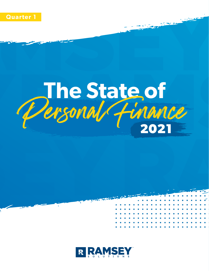

# The State of<br>Personal Finance **2021**

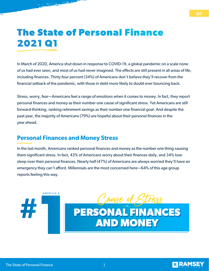## **The State of Personal Finance 2021 Q1**

In March of 2020, America shut down in response to COVID-19, a global pandemic on a scale none of us had ever seen, and most of us had never imagined. The effects are still present in all areas of life, including finances. Thirty-four percent (34%) of Americans don't believe they'll recover from the financial setback of the pandemic, with those in debt more likely to doubt ever bouncing back.

Stress, worry, fear—Americans feel a range of emotions when it comes to money. In fact, they report personal finances and money as their number one cause of significant stress. Yet Americans are still forward-thinking, ranking retirement savings as their number one financial goal. And despite the past year, the majority of Americans (79%) are hopeful about their personal finances in the year ahead.

#### **Personal Finances and Money Stress**

In the last month, Americans ranked personal finances and money as the number one thing causing them significant stress. In fact, 43% of Americans worry about their finances daily, and 34% lose sleep over their personal finances. Nearly half (47%) of Americans are always worried they'll have an emergency they can't afford. Millennials are the most concerned here—64% of this age group reports feeling this way.



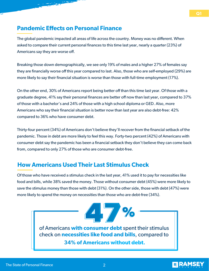#### **Pandemic Effects on Personal Finance**

The global pandemic impacted all areas of life across the country. Money was no different. When asked to compare their current personal finances to this time last year, nearly a quarter (23%) of Americans say they are worse off.

Breaking those down demographically, we see only 19% of males and a higher 27% of females say they are financially worse off this year compared to last. Also, those who are self-employed (29%) are more likely to say their financial situation is worse than those with full-time employment (17%).

On the other end, 30% of Americans report being better off than this time last year. Of those with a graduate degree, 41% say their personal finances are better off now than last year, compared to 37% of those with a bachelor's and 24% of those with a high school diploma or GED. Also, more Americans who say their financial situation is better now than last year are also debt-free: 42% compared to 36% who have consumer debt.

Thirty-four percent (34%) of Americans don't believe they'll recover from the financial setback of the pandemic. Those in debt are more likely to feel this way. Forty-two percent (42%) of Americans with consumer debt say the pandemic has been a financial setback they don't believe they can come back from, compared to only 27% of those who are consumer debt-free.

### **How Americans Used Their Last Stimulus Check**

Of those who have received a stimulus check in the last year, 41% used it to pay for necessities like food and bills, while 38% saved the money. Those without consumer debt (45%) were more likely to save the stimulus money than those with debt (31%). On the other side, those with debt (47%) were more likely to spend the money on necessities than those who are debt-free (34%).

> **47%** of Americans **with consumer debt** spent their stimulus check on **necessities like food and bills**, compared to **34% of Americans without debt.**

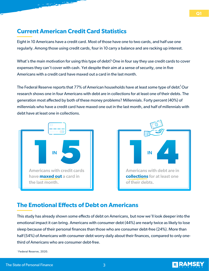#### **Current American Credit Card Statistics**

Eight in 10 Americans have a credit card. Most of those have one to two cards, and half use one regularly. Among those using credit cards, four in 10 carry a balance and are racking up interest.

What's the main motivation for using this type of debt? One in four say they use credit cards to cover expenses they can't cover with cash. Yet despite their aim at a sense of security, one in five Americans with a credit card have maxed out a card in the last month.

The Federal Reserve reports that 77% of American households have at least some type of debt.  $\rm{Our}$ research shows one in four Americans with debt are in collections for at least one of their debts. The generation most affected by both of these money problems? Millennials. Forty percent (40%) of millennials who have a credit card have maxed one out in the last month, and half of millennials with debt have at least one in collections.





#### **The Emotional Effects of Debt on Americans**

This study has already shown some effects of debt on Americans, but now we'll look deeper into the emotional impact it can bring. Americans with consumer debt (44%) are nearly twice as likely to lose sleep because of their personal finances than those who are consumer debt-free (24%). More than half (54%) of Americans with consumer debt worry daily about their finances, compared to only onethird of Americans who are consumer debt-free.

<sup>1</sup> Federal Reserve, 2020.

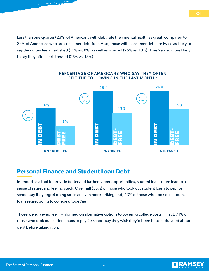Less than one-quarter (23%) of Americans with debt rate their mental health as great, compared to 34% of Americans who are consumer debt-free. Also, those with consumer debt are twice as likely to say they often feel unsatisfied (16% vs. 8%) as well as worried (25% vs. 13%). They're also more likely to say they often feel stressed (25% vs. 15%).



#### PERCENTAGE OF AMERICANS WHO SAY THEY OFTEN FELT THE FOLLOWING IN THE LAST MONTH:

#### **Personal Finance and Student Loan Debt**

Intended as a tool to provide better and further career opportunities, student loans ofen lead to a sense of regret and feeling stuck. Over half (53%) of those who took out student loans to pay for school say they regret doing so. In an even more striking find, 43% of those who took out student loans regret going to college *altogether*.

Those we surveyed feel ill-informed on alternative options to covering college costs. In fact, 71% of those who took out student loans to pay for school say they wish they'd been better educated about debt before taking it on.

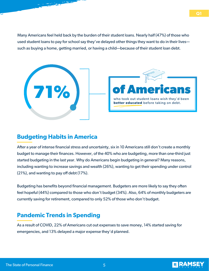Many Americans feel held back by the burden of their student loans. Nearly half (47%) of those who used student loans to pay for school say they've delayed other things they want to do in their lives such as buying a home, getting married, or having a child—because of their student loan debt.



#### **Budgeting Habits in America**

Afer a year of intense financial stress and uncertainty, six in 10 Americans still don't create a monthly budget to manage their finances. However, of the 40% who are budgeting, more than one-third just started budgeting in the last year. Why do Americans begin budgeting in general? Many reasons, including wanting to increase savings and wealth (26%), wanting to get their spending under control (21%), and wanting to pay off debt (17%).

Budgeting has benefits beyond financial management. Budgeters are more likely to say they often feel hopeful (44%) compared to those who don't budget (34%). Also, 64% of monthly budgeters are currently saving for retirement, compared to only 52% of those who don't budget.

### **Pandemic Trends in Spending**

As a result of COVID, 22% of Americans cut out expenses to save money, 14% started saving for emergencies, and 13% delayed a major expense they'd planned.

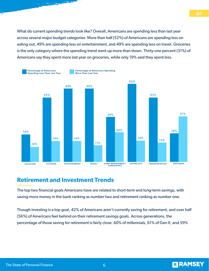What do current spending trends look like? Overall, Americans are spending less than last year across several major budget categories. More than half (52%) of Americans are spending less on eating out, 49% are spending less on entertainment, and 49% are spending less on travel. Groceries is the only category where the spending trend went up more than down. Thirty-one percent (31%) of Americans say they spent more last year on groceries, while only 19% said they spent less.



#### **Retirement and Investment Trends**

The top two financial goals Americans have are related to short-term and long-term savings, with saving more money in the bank ranking as number two and retirement ranking as number one.

Though investing is a top goal, 42% of Americans aren't currently saving for retirement, and over half (56%) of Americans feel behind on their retirement savings goals. Across generations, the percentage of those saving for retirement is fairly close: 60% of millennials, 61% of Gen X, and 59%

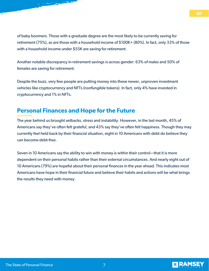of baby boomers. Those with a graduate degree are the most likely to be currently saving for retirement (75%), as are those with a household income of \$100K+ (80%). In fact, only 33% of those with a household income under \$55K are saving for retirement.

Another notable discrepancy in retirement savings is across gender: 63% of males and 50% of females are saving for retirement.

Despite the buzz, very few people are putting money into these newer, unproven investment vehicles like cryptocurrency and NFTs (nonfungible tokens). In fact, only 4% have invested in cryptocurrency and 1% in NFTs.

#### **Personal Finances and Hope for the Future**

The year behind us brought setbacks, stress and instability. However, in the last month, 45% of Americans say they've often felt grateful, and 43% say they've often felt happiness. Though they may currently feel held back by their financial situation, eight in 10 Americans with debt do believe they can become debt-free.

Seven in 10 Americans say the ability to win with money is within their control—that it is more dependent on their personal habits rather than their external circumstances. And nearly eight out of 10 Americans (79%) are hopeful about their personal finances in the year ahead. This indicates most Americans have hope in their financial future and believe their habits and actions will be what brings the results they need with money.